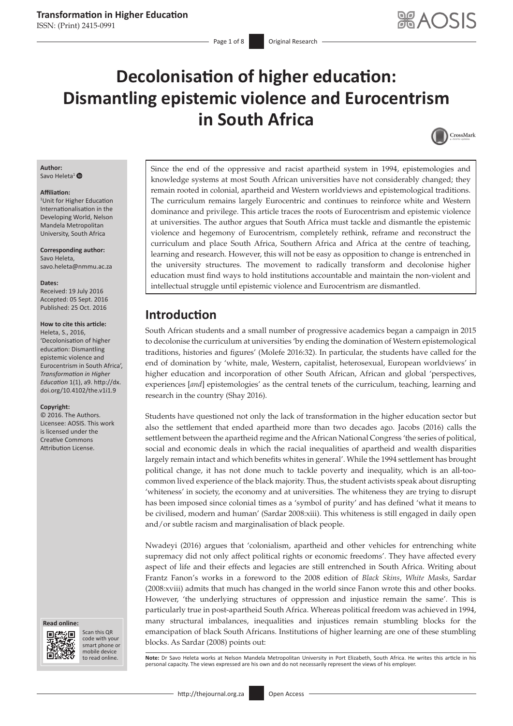# **Decolonisation of higher education: Dismantling epistemic violence and Eurocentrism in South Africa**



#### **Author:** Savo Heleta<sup>[1](http://orcid.org/0000-0002-7478-742X)</sup> $\bullet$

#### **Affiliation:**

1 Unit for Higher Education Internationalisation in the Developing World, Nelson Mandela Metropolitan University, South Africa

**Corresponding author:** Savo Heleta, [savo.heleta@nmmu.ac.za](mailto:savo.heleta@nmmu.ac.za)

#### **Dates:**

Received: 19 July 2016 Accepted: 05 Sept. 2016 Published: 25 Oct. 2016

#### **How to cite this article:**

Heleta, S., 2016, 'Decolonisation of higher education: Dismantling epistemic violence and Eurocentrism in South Africa', *Transformation in Higher Education* 1(1), a9. [http://dx.](http://dx.doi.org/10.4102/the.v1i1.9) [doi.org/10.4102/the.v1i1.9](http://dx.doi.org/10.4102/the.v1i1.9)

#### **Copyright:**

© 2016. The Authors. Licensee: AOSIS. This work is licensed under the Creative Commons Attribution License.





Scan this QR code with your Scan this QR<br>code with your<br>smart phone or<br>mobile device mobile device to read online.

Since the end of the oppressive and racist apartheid system in 1994, epistemologies and knowledge systems at most South African universities have not considerably changed; they remain rooted in colonial, apartheid and Western worldviews and epistemological traditions. The curriculum remains largely Eurocentric and continues to reinforce white and Western dominance and privilege. This article traces the roots of Eurocentrism and epistemic violence at universities. The author argues that South Africa must tackle and dismantle the epistemic violence and hegemony of Eurocentrism, completely rethink, reframe and reconstruct the curriculum and place South Africa, Southern Africa and Africa at the centre of teaching, learning and research. However, this will not be easy as opposition to change is entrenched in the university structures. The movement to radically transform and decolonise higher education must find ways to hold institutions accountable and maintain the non-violent and intellectual struggle until epistemic violence and Eurocentrism are dismantled.

### **Introduction**

South African students and a small number of progressive academics began a campaign in 2015 to decolonise the curriculum at universities 'by ending the domination of Western epistemological traditions, histories and figures' (Molefe 2016:32). In particular, the students have called for the end of domination by 'white, male, Western, capitalist, heterosexual, European worldviews' in higher education and incorporation of other South African, African and global 'perspectives, experiences [*and*] epistemologies' as the central tenets of the curriculum, teaching, learning and research in the country (Shay 2016).

Students have questioned not only the lack of transformation in the higher education sector but also the settlement that ended apartheid more than two decades ago. Jacobs (2016) calls the settlement between the apartheid regime and the African National Congress 'the series of political, social and economic deals in which the racial inequalities of apartheid and wealth disparities largely remain intact and which benefits whites in general'. While the 1994 settlement has brought political change, it has not done much to tackle poverty and inequality, which is an all-toocommon lived experience of the black majority. Thus, the student activists speak about disrupting 'whiteness' in society, the economy and at universities. The whiteness they are trying to disrupt has been imposed since colonial times as a 'symbol of purity' and has defined 'what it means to be civilised, modern and human' (Sardar 2008:xiii). This whiteness is still engaged in daily open and/or subtle racism and marginalisation of black people.

Nwadeyi (2016) argues that 'colonialism, apartheid and other vehicles for entrenching white supremacy did not only affect political rights or economic freedoms'. They have affected every aspect of life and their effects and legacies are still entrenched in South Africa. Writing about Frantz Fanon's works in a foreword to the 2008 edition of *Black Skins*, *White Masks*, Sardar (2008:xviii) admits that much has changed in the world since Fanon wrote this and other books. However, 'the underlying structures of oppression and injustice remain the same'. This is particularly true in post-apartheid South Africa. Whereas political freedom was achieved in 1994, many structural imbalances, inequalities and injustices remain stumbling blocks for the emancipation of black South Africans. Institutions of higher learning are one of these stumbling blocks. As Sardar (2008) points out:

Note: Dr Savo Heleta works at Nelson Mandela Metropolitan University in Port Elizabeth, South Africa. He writes this article in his personal capacity. The views expressed are his own and do not necessarily represent the views of his employer.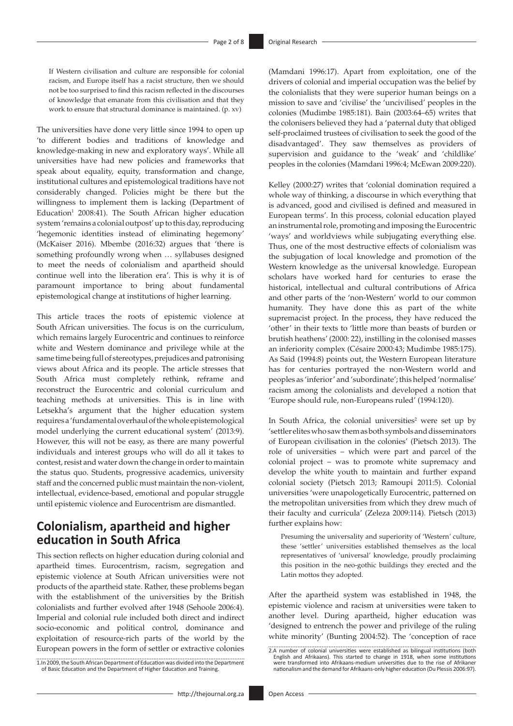If Western civilisation and culture are responsible for colonial racism, and Europe itself has a racist structure, then we should not be too surprised to find this racism reflected in the discourses of knowledge that emanate from this civilisation and that they work to ensure that structural dominance is maintained. (p. xv)

The universities have done very little since 1994 to open up 'to different bodies and traditions of knowledge and knowledge-making in new and exploratory ways'. While all universities have had new policies and frameworks that speak about equality, equity, transformation and change, institutional cultures and epistemological traditions have not considerably changed. Policies might be there but the willingness to implement them is lacking (Department of  $Education<sup>1</sup> 2008:41$ ). The South African higher education system 'remains a colonial outpost' up to this day, reproducing 'hegemonic identities instead of eliminating hegemony' (McKaiser 2016). Mbembe (2016:32) argues that 'there is something profoundly wrong when … syllabuses designed to meet the needs of colonialism and apartheid should continue well into the liberation era'. This is why it is of paramount importance to bring about fundamental epistemological change at institutions of higher learning.

This article traces the roots of epistemic violence at South African universities. The focus is on the curriculum, which remains largely Eurocentric and continues to reinforce white and Western dominance and privilege while at the same time being full of stereotypes, prejudices and patronising views about Africa and its people. The article stresses that South Africa must completely rethink, reframe and reconstruct the Eurocentric and colonial curriculum and teaching methods at universities. This is in line with Letsekha's argument that the higher education system requires a 'fundamental overhaul of the whole epistemological model underlying the current educational system' (2013:9). However, this will not be easy, as there are many powerful individuals and interest groups who will do all it takes to contest, resist and water down the change in order to maintain the status quo. Students, progressive academics, university staff and the concerned public must maintain the non-violent, intellectual, evidence-based, emotional and popular struggle until epistemic violence and Eurocentrism are dismantled.

## **Colonialism, apartheid and higher education in South Africa**

This section reflects on higher education during colonial and apartheid times. Eurocentrism, racism, segregation and epistemic violence at South African universities were not products of the apartheid state. Rather, these problems began with the establishment of the universities by the British colonialists and further evolved after 1948 (Sehoole 2006:4). Imperial and colonial rule included both direct and indirect socio-economic and political control, dominance and exploitation of resource-rich parts of the world by the European powers in the form of settler or extractive colonies

1.In 2009, the South African Department of Education was divided into the Department of Basic Education and the Department of Higher Education and Training.

(Mamdani 1996:17). Apart from exploitation, one of the drivers of colonial and imperial occupation was the belief by the colonialists that they were superior human beings on a mission to save and 'civilise' the 'uncivilised' peoples in the colonies (Mudimbe 1985:181). Bain (2003:64–65) writes that the colonisers believed they had a 'paternal duty that obliged self-proclaimed trustees of civilisation to seek the good of the disadvantaged'. They saw themselves as providers of supervision and guidance to the 'weak' and 'childlike' peoples in the colonies (Mamdani 1996:4; McEwan 2009:220).

Kelley (2000:27) writes that 'colonial domination required a whole way of thinking, a discourse in which everything that is advanced, good and civilised is defined and measured in European terms'. In this process, colonial education played an instrumental role, promoting and imposing the Eurocentric 'ways' and worldviews while subjugating everything else. Thus, one of the most destructive effects of colonialism was the subjugation of local knowledge and promotion of the Western knowledge as the universal knowledge. European scholars have worked hard for centuries to erase the historical, intellectual and cultural contributions of Africa and other parts of the 'non-Western' world to our common humanity. They have done this as part of the white supremacist project. In the process, they have reduced the 'other' in their texts to 'little more than beasts of burden or brutish heathens' (2000: 22), instilling in the colonised masses an inferiority complex (Césaire 2000:43; Mudimbe 1985:175). As Said (1994:8) points out, the Western European literature has for centuries portrayed the non-Western world and peoples as 'inferior' and 'subordinate'; this helped 'normalise' racism among the colonialists and developed a notion that 'Europe should rule, non-Europeans ruled' (1994:120).

In South Africa, the colonial universities<sup>2</sup> were set up by 'settler elites who saw them as both symbols and disseminators of European civilisation in the colonies' (Pietsch 2013). The role of universities – which were part and parcel of the colonial project – was to promote white supremacy and develop the white youth to maintain and further expand colonial society (Pietsch 2013; Ramoupi 2011:5). Colonial universities 'were unapologetically Eurocentric, patterned on the metropolitan universities from which they drew much of their faculty and curricula' (Zeleza 2009:114). Pietsch (2013) further explains how:

Presuming the universality and superiority of 'Western' culture, these 'settler' universities established themselves as the local representatives of 'universal' knowledge, proudly proclaiming this position in the neo-gothic buildings they erected and the Latin mottos they adopted.

After the apartheid system was established in 1948, the epistemic violence and racism at universities were taken to another level. During apartheid, higher education was 'designed to entrench the power and privilege of the ruling white minority' (Bunting 2004:52). The 'conception of race

<sup>2.</sup>A number of colonial universities were established as bilingual institutions (both<br>English and Afrikaans). This started to change in 1918, when some institutions<br>were transformed into Afrikaans-medium universities due to nationalism and the demand for Afrikaans-only higher education (Du Plessis 2006:97).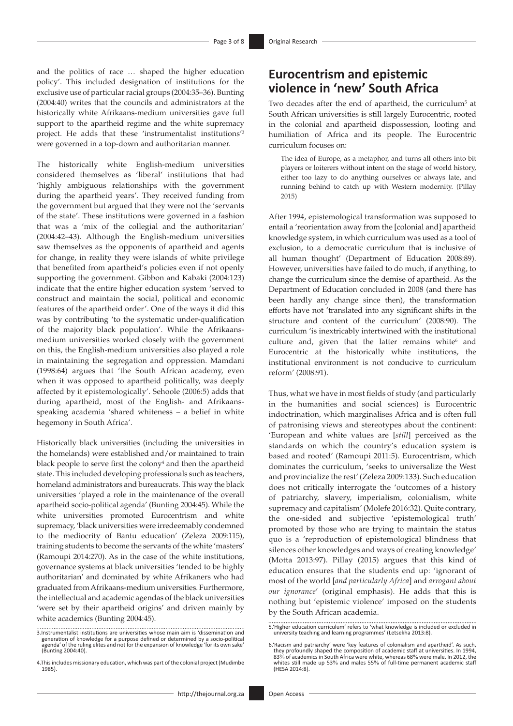and the politics of race … shaped the higher education policy'. This included designation of institutions for the exclusive use of particular racial groups (2004*:*35–36). Bunting (2004:40) writes that the councils and administrators at the historically white Afrikaans-medium universities gave full support to the apartheid regime and the white supremacy project. He adds that these 'instrumentalist institutions'3 were governed in a top-down and authoritarian manner.

The historically white English-medium universities considered themselves as 'liberal' institutions that had 'highly ambiguous relationships with the government during the apartheid years'. They received funding from the government but argued that they were not the 'servants of the state'. These institutions were governed in a fashion that was a 'mix of the collegial and the authoritarian' (2004:42–43). Although the English-medium universities saw themselves as the opponents of apartheid and agents for change, in reality they were islands of white privilege that benefited from apartheid's policies even if not openly supporting the government. Gibbon and Kabaki (2004:123) indicate that the entire higher education system 'served to construct and maintain the social, political and economic features of the apartheid order'. One of the ways it did this was by contributing 'to the systematic under-qualification of the majority black population'. While the Afrikaansmedium universities worked closely with the government on this, the English-medium universities also played a role in maintaining the segregation and oppression. Mamdani (1998:64) argues that 'the South African academy, even when it was opposed to apartheid politically, was deeply affected by it epistemologically'. Sehoole (2006:5) adds that during apartheid, most of the English- and Afrikaansspeaking academia 'shared whiteness – a belief in white hegemony in South Africa'.

Historically black universities (including the universities in the homelands) were established and/or maintained to train black people to serve first the colony<sup>4</sup> and then the apartheid state. This included developing professionals such as teachers, homeland administrators and bureaucrats. This way the black universities 'played a role in the maintenance of the overall apartheid socio-political agenda' (Bunting 2004:45). While the white universities promoted Eurocentrism and white supremacy, 'black universities were irredeemably condemned to the mediocrity of Bantu education' (Zeleza 2009:115), training students to become the servants of the white 'masters' (Ramoupi 2014:270). As in the case of the white institutions, governance systems at black universities 'tended to be highly authoritarian' and dominated by white Afrikaners who had graduated from Afrikaans-medium universities. Furthermore, the intellectual and academic agendas of the black universities 'were set by their apartheid origins' and driven mainly by white academics (Bunting 2004:45).

Two decades after the end of apartheid, the curriculum<sup>5</sup> at South African universities is still largely Eurocentric, rooted in the colonial and apartheid dispossession, looting and humiliation of Africa and its people. The Eurocentric curriculum focuses on:

The idea of Europe, as a metaphor, and turns all others into bit players or loiterers without intent on the stage of world history, either too lazy to do anything ourselves or always late, and running behind to catch up with Western modernity. (Pillay 2015)

After 1994, epistemological transformation was supposed to entail a 'reorientation away from the [colonial and] apartheid knowledge system, in which curriculum was used as a tool of exclusion, to a democratic curriculum that is inclusive of all human thought' (Department of Education 2008:89). However, universities have failed to do much, if anything, to change the curriculum since the demise of apartheid. As the Department of Education concluded in 2008 (and there has been hardly any change since then), the transformation efforts have not 'translated into any significant shifts in the structure and content of the curriculum' (2008:90). The curriculum 'is inextricably intertwined with the institutional culture and, given that the latter remains white $6$  and Eurocentric at the historically white institutions, the institutional environment is not conducive to curriculum reform' (2008:91).

Thus, what we have in most fields of study (and particularly in the humanities and social sciences) is Eurocentric indoctrination, which marginalises Africa and is often full of patronising views and stereotypes about the continent: 'European and white values are [*still*] perceived as the standards on which the country's education system is based and rooted' (Ramoupi 2011:5). Eurocentrism, which dominates the curriculum, 'seeks to universalize the West and provincialize the rest' (Zeleza 2009:133). Such education does not critically interrogate the 'outcomes of a history of patriarchy, slavery, imperialism, colonialism, white supremacy and capitalism' (Molefe 2016:32). Quite contrary, the one-sided and subjective 'epistemological truth' promoted by those who are trying to maintain the status quo is a 'reproduction of epistemological blindness that silences other knowledges and ways of creating knowledge' (Motta 2013:97). Pillay (2015) argues that this kind of education ensures that the students end up: 'ignorant of most of the world [*and particularly Africa*] and *arrogant about our ignorance*' (original emphasis). He adds that this is nothing but 'epistemic violence' imposed on the students by the South African academia.

<sup>3.</sup>Instrumentalist institutions are universities whose main aim is 'dissemination and generation of knowledge for a purpose defined or determined by a socio-political agenda' of the ruling elites and not for the expansion of knowledge 'for its own sake' (Bunting 2004:40).

<sup>4.</sup>This includes missionary education, which was part of the colonial project (Mudimbe 1985).

<sup>5.&#</sup>x27;Higher education curriculum' refers to 'what knowledge is included or excluded in university teaching and learning programmes' (Letsekha 2013:8).

<sup>6.</sup> Racism and patriarchy' were 'key features of colonialism and apartheid'. As such,<br>they profoundly shaped the composition of academic staff at universities. In 1994,<br>83% of academics in South Africa were white, whereas 6 whites still made up 53% and males 55% of full-time permanent academic staff (HESA 2014:8).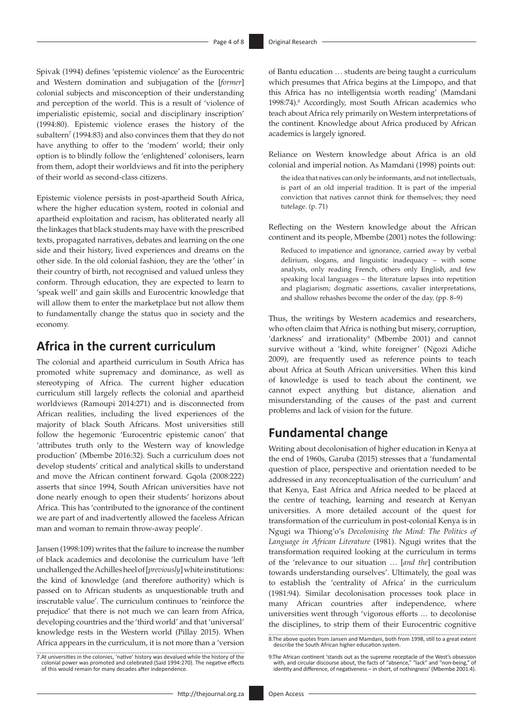Spivak (1994) defines 'epistemic violence' as the Eurocentric and Western domination and subjugation of the [*former*] colonial subjects and misconception of their understanding and perception of the world. This is a result of 'violence of imperialistic epistemic, social and disciplinary inscription' (1994:80). Epistemic violence erases the history of the subaltern<sup>7</sup> (1994:83) and also convinces them that they do not have anything to offer to the 'modern' world; their only option is to blindly follow the 'enlightened' colonisers, learn from them, adopt their worldviews and fit into the periphery of their world as second-class citizens.

Epistemic violence persists in post-apartheid South Africa, where the higher education system, rooted in colonial and apartheid exploitation and racism, has obliterated nearly all the linkages that black students may have with the prescribed texts, propagated narratives, debates and learning on the one side and their history, lived experiences and dreams on the other side. In the old colonial fashion, they are the 'other' in their country of birth, not recognised and valued unless they conform. Through education, they are expected to learn to 'speak well' and gain skills and Eurocentric knowledge that will allow them to enter the marketplace but not allow them to fundamentally change the status quo in society and the economy.

### **Africa in the current curriculum**

The colonial and apartheid curriculum in South Africa has promoted white supremacy and dominance, as well as stereotyping of Africa. The current higher education curriculum still largely reflects the colonial and apartheid worldviews (Ramoupi 2014:271) and is disconnected from African realities, including the lived experiences of the majority of black South Africans. Most universities still follow the hegemonic 'Eurocentric epistemic canon' that 'attributes truth only to the Western way of knowledge production' (Mbembe 2016:32). Such a curriculum does not develop students' critical and analytical skills to understand and move the African continent forward. Gqola (2008:222) asserts that since 1994, South African universities have not done nearly enough to open their students' horizons about Africa. This has 'contributed to the ignorance of the continent we are part of and inadvertently allowed the faceless African man and woman to remain throw-away people'.

Jansen (1998:109) writes that the failure to increase the number of black academics and decolonise the curriculum have 'left unchallenged the Achilles heel of [*previously*] white institutions: the kind of knowledge (and therefore authority) which is passed on to African students as unquestionable truth and inscrutable value'. The curriculum continues to 'reinforce the prejudice' that there is not much we can learn from Africa, developing countries and the 'third world' and that 'universal' knowledge rests in the Western world (Pillay 2015). When Africa appears in the curriculum, it is not more than a 'version

7.At universities in the colonies, 'native' history was devalued while the history of the colonial power was promoted and celebrated (Said 1994:270). The negative effects of this would remain for many decades after independence.

of Bantu education … students are being taught a curriculum which presumes that Africa begins at the Limpopo, and that this Africa has no intelligentsia worth reading' (Mamdani 1998:74).8 Accordingly, most South African academics who teach about Africa rely primarily on Western interpretations of the continent. Knowledge about Africa produced by African academics is largely ignored.

Reliance on Western knowledge about Africa is an old colonial and imperial notion. As Mamdani (1998) points out:

the idea that natives can only be informants, and not intellectuals, is part of an old imperial tradition. It is part of the imperial conviction that natives cannot think for themselves; they need tutelage. (p. 71)

Reflecting on the Western knowledge about the African continent and its people, Mbembe (2001) notes the following:

Reduced to impatience and ignorance, carried away by verbal delirium, slogans, and linguistic inadequacy – with some analysts, only reading French, others only English, and few speaking local languages – the literature lapses into repetition and plagiarism; dogmatic assertions, cavalier interpretations, and shallow rehashes become the order of the day. (pp. 8–9)

Thus, the writings by Western academics and researchers, who often claim that Africa is nothing but misery, corruption, 'darkness' and irrationality<sup>9</sup> (Mbembe 2001) and cannot survive without a 'kind, white foreigner' (Ngozi Adiche 2009), are frequently used as reference points to teach about Africa at South African universities. When this kind of knowledge is used to teach about the continent, we cannot expect anything but distance, alienation and misunderstanding of the causes of the past and current problems and lack of vision for the future.

### **Fundamental change**

Writing about decolonisation of higher education in Kenya at the end of 1960s, Garuba (2015) stresses that a 'fundamental question of place, perspective and orientation needed to be addressed in any reconceptualisation of the curriculum' and that Kenya, East Africa and Africa needed to be placed at the centre of teaching, learning and research at Kenyan universities. A more detailed account of the quest for transformation of the curriculum in post-colonial Kenya is in Ngugi wa Thiong'o's *Decolonising the Mind: The Politics of Language in African Literature* (1981). Ngugi writes that the transformation required looking at the curriculum in terms of the 'relevance to our situation … [*and the*] contribution towards understanding ourselves'. Ultimately, the goal was to establish the 'centrality of Africa' in the curriculum (1981:94). Similar decolonisation processes took place in many African countries after independence, where universities went through 'vigorous efforts … to decolonise the disciplines, to strip them of their Eurocentric cognitive

<sup>8.</sup>The above quotes from Jansen and Mamdani, both from 1998, still to a great extent describe the South African higher education system.

<sup>9.</sup>The African continent 'stands out as the supreme receptacle of the West's obsession with, and circular discourse about, the facts of "absence," "lack" and "non-being," of identity and difference, of negativeness – in short, of nothingness' (Mbembe 2001:4).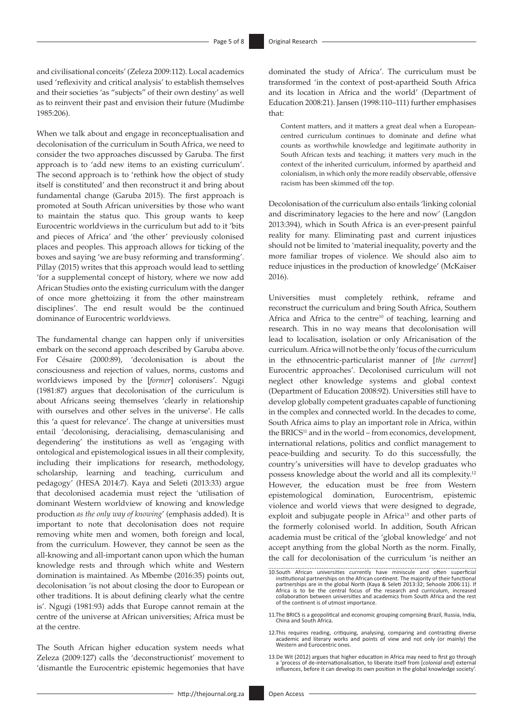and civilisational conceits' (Zeleza 2009:112). Local academics used 'reflexivity and critical analysis' to establish themselves and their societies 'as "subjects" of their own destiny' as well as to reinvent their past and envision their future (Mudimbe 1985:206).

When we talk about and engage in reconceptualisation and decolonisation of the curriculum in South Africa, we need to consider the two approaches discussed by Garuba. The first approach is to 'add new items to an existing curriculum'. The second approach is to 'rethink how the object of study itself is constituted' and then reconstruct it and bring about fundamental change (Garuba 2015). The first approach is promoted at South African universities by those who want to maintain the status quo. This group wants to keep Eurocentric worldviews in the curriculum but add to it 'bits and pieces of Africa' and 'the other' previously colonised places and peoples. This approach allows for ticking of the boxes and saying 'we are busy reforming and transforming'. Pillay (2015) writes that this approach would lead to settling 'for a supplemental concept of history, where we now add African Studies onto the existing curriculum with the danger of once more ghettoizing it from the other mainstream disciplines'. The end result would be the continued dominance of Eurocentric worldviews.

The fundamental change can happen only if universities embark on the second approach described by Garuba above. For Césaire (2000:89), 'decolonisation is about the consciousness and rejection of values, norms, customs and worldviews imposed by the [*former*] colonisers'. Ngugi (1981:87) argues that decolonisation of the curriculum is about Africans seeing themselves 'clearly in relationship with ourselves and other selves in the universe'. He calls this 'a quest for relevance'. The change at universities must entail 'decolonising, deracialising, demasculanising and degendering' the institutions as well as 'engaging with ontological and epistemological issues in all their complexity, including their implications for research, methodology, scholarship, learning and teaching, curriculum and pedagogy' (HESA 2014:7). Kaya and Seleti (2013:33) argue that decolonised academia must reject the 'utilisation of dominant Western worldview of knowing and knowledge production *as the only way of knowing*' (emphasis added). It is important to note that decolonisation does not require removing white men and women, both foreign and local, from the curriculum. However, they cannot be seen as the all-knowing and all-important canon upon which the human knowledge rests and through which white and Western domination is maintained. As Mbembe (2016:35) points out, decolonisation 'is not about closing the door to European or other traditions. It is about defining clearly what the centre is'. Ngugi (1981:93) adds that Europe cannot remain at the centre of the universe at African universities; Africa must be at the centre.

The South African higher education system needs what Zeleza (2009:127) calls the 'deconstructionist' movement to 'dismantle the Eurocentric epistemic hegemonies that have

dominated the study of Africa'. The curriculum must be transformed 'in the context of post-apartheid South Africa and its location in Africa and the world' (Department of Education 2008:21). Jansen (1998:110–111) further emphasises that:

Content matters, and it matters a great deal when a Europeancentred curriculum continues to dominate and define what counts as worthwhile knowledge and legitimate authority in South African texts and teaching; it matters very much in the context of the inherited curriculum, informed by apartheid and colonialism, in which only the more readily observable, offensive racism has been skimmed off the top.

Decolonisation of the curriculum also entails 'linking colonial and discriminatory legacies to the here and now' (Langdon 2013:394), which in South Africa is an ever-present painful reality for many. Eliminating past and current injustices should not be limited to 'material inequality, poverty and the more familiar tropes of violence. We should also aim to reduce injustices in the production of knowledge' (McKaiser 2016).

Universities must completely rethink, reframe and reconstruct the curriculum and bring South Africa, Southern Africa and Africa to the centre<sup>10</sup> of teaching, learning and research. This in no way means that decolonisation will lead to localisation, isolation or only Africanisation of the curriculum. Africa will not be the only 'focus of the curriculum in the ethnocentric-particularist manner of [*the current*] Eurocentric approaches'. Decolonised curriculum will not neglect other knowledge systems and global context (Department of Education 2008:92). Universities still have to develop globally competent graduates capable of functioning in the complex and connected world. In the decades to come, South Africa aims to play an important role in Africa, within the BRICS<sup>11</sup> and in the world – from economics, development, international relations, politics and conflict management to peace-building and security. To do this successfully, the country's universities will have to develop graduates who possess knowledge about the world and all its complexity.12 However, the education must be free from Western epistemological domination, Eurocentrism, epistemic violence and world views that were designed to degrade, exploit and subjugate people in Africa<sup>13</sup> and other parts of the formerly colonised world. In addition, South African academia must be critical of the 'global knowledge' and not accept anything from the global North as the norm. Finally, the call for decolonisation of the curriculum 'is neither an

<sup>10.</sup>South African universities currently have miniscule and often superficial institutional partnerships on the African continent. The majority of their functional partnerships are in the global North (Kaya & Seleti 2013:32; Sehoole 2006:11). If Africa is to be the central focus of the research and curriculum, increased collaboration between universities and academics from South Africa and the rest of the continent is of utmost importance.

<sup>11.</sup>The BRICS is a geopolitical and economic grouping comprising Brazil, Russia, India, China and South Africa.

<sup>12.</sup>This requires reading, critiquing, analysing, comparing and contrasting diverse academic and literary works and points of view and not only (or mainly) the Western and Eurocentric ones.

<sup>13.</sup>De Wit (2012) argues that higher education in Africa may need to first go through a 'process of de-internationalisation, to liberate itself from [*colonial and*] external influences, before it can develop its own position in the global knowledge society'.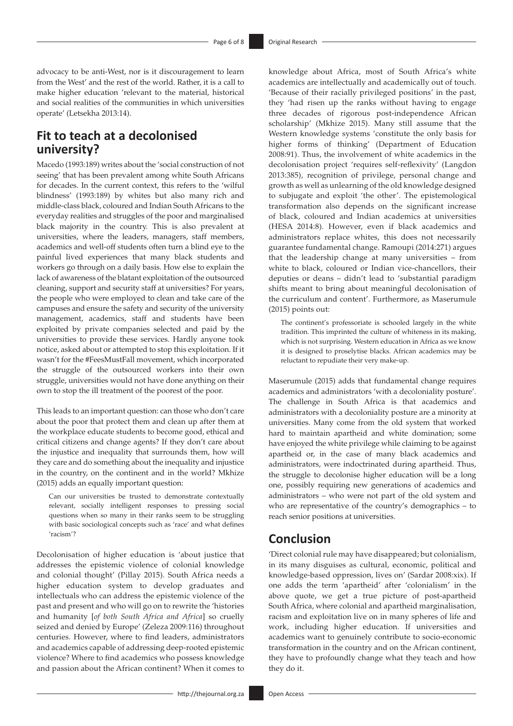advocacy to be anti-West, nor is it discouragement to learn from the West' and the rest of the world. Rather, it is a call to make higher education 'relevant to the material, historical and social realities of the communities in which universities operate' (Letsekha 2013:14).

# **Fit to teach at a decolonised university?**

Macedo (1993:189) writes about the 'social construction of not seeing' that has been prevalent among white South Africans for decades. In the current context, this refers to the 'wilful blindness' (1993:189) by whites but also many rich and middle-class black, coloured and Indian South Africans to the everyday realities and struggles of the poor and marginalised black majority in the country. This is also prevalent at universities, where the leaders, managers, staff members, academics and well-off students often turn a blind eye to the painful lived experiences that many black students and workers go through on a daily basis. How else to explain the lack of awareness of the blatant exploitation of the outsourced cleaning, support and security staff at universities? For years, the people who were employed to clean and take care of the campuses and ensure the safety and security of the university management, academics, staff and students have been exploited by private companies selected and paid by the universities to provide these services. Hardly anyone took notice, asked about or attempted to stop this exploitation. If it wasn't for the #FeesMustFall movement, which incorporated the struggle of the outsourced workers into their own struggle, universities would not have done anything on their own to stop the ill treatment of the poorest of the poor.

This leads to an important question: can those who don't care about the poor that protect them and clean up after them at the workplace educate students to become good, ethical and critical citizens and change agents? If they don't care about the injustice and inequality that surrounds them, how will they care and do something about the inequality and injustice in the country, on the continent and in the world? Mkhize (2015) adds an equally important question:

Can our universities be trusted to demonstrate contextually relevant, socially intelligent responses to pressing social questions when so many in their ranks seem to be struggling with basic sociological concepts such as 'race' and what defines 'racism'?

Decolonisation of higher education is 'about justice that addresses the epistemic violence of colonial knowledge and colonial thought' (Pillay 2015). South Africa needs a higher education system to develop graduates and intellectuals who can address the epistemic violence of the past and present and who will go on to rewrite the 'histories and humanity [*of both South Africa and Africa*] so cruelly seized and denied by Europe' (Zeleza 2009:116) throughout centuries. However, where to find leaders, administrators and academics capable of addressing deep-rooted epistemic violence? Where to find academics who possess knowledge and passion about the African continent? When it comes to

knowledge about Africa, most of South Africa's white academics are intellectually and academically out of touch. 'Because of their racially privileged positions' in the past, they 'had risen up the ranks without having to engage three decades of rigorous post-independence African scholarship' (Mkhize 2015). Many still assume that the Western knowledge systems 'constitute the only basis for higher forms of thinking' (Department of Education 2008:91). Thus, the involvement of white academics in the decolonisation project 'requires self-reflexivity' (Langdon 2013:385), recognition of privilege, personal change and growth as well as unlearning of the old knowledge designed to subjugate and exploit 'the other'. The epistemological transformation also depends on the significant increase of black, coloured and Indian academics at universities (HESA 2014:8). However, even if black academics and administrators replace whites, this does not necessarily guarantee fundamental change. Ramoupi (2014:271) argues that the leadership change at many universities – from white to black, coloured or Indian vice-chancellors, their deputies or deans – didn't lead to 'substantial paradigm shifts meant to bring about meaningful decolonisation of the curriculum and content'. Furthermore, as Maserumule (2015) points out:

The continent's professoriate is schooled largely in the white tradition. This imprinted the culture of whiteness in its making, which is not surprising. Western education in Africa as we know it is designed to proselytise blacks. African academics may be reluctant to repudiate their very make-up.

Maserumule (2015) adds that fundamental change requires academics and administrators 'with a decoloniality posture'. The challenge in South Africa is that academics and administrators with a decoloniality posture are a minority at universities. Many come from the old system that worked hard to maintain apartheid and white domination; some have enjoyed the white privilege while claiming to be against apartheid or, in the case of many black academics and administrators, were indoctrinated during apartheid. Thus, the struggle to decolonise higher education will be a long one, possibly requiring new generations of academics and administrators – who were not part of the old system and who are representative of the country's demographics – to reach senior positions at universities.

### **Conclusion**

'Direct colonial rule may have disappeared; but colonialism, in its many disguises as cultural, economic, political and knowledge-based oppression, lives on' (Sardar 2008:xix). If one adds the term 'apartheid' after 'colonialism' in the above quote, we get a true picture of post-apartheid South Africa, where colonial and apartheid marginalisation, racism and exploitation live on in many spheres of life and work, including higher education. If universities and academics want to genuinely contribute to socio-economic transformation in the country and on the African continent, they have to profoundly change what they teach and how they do it.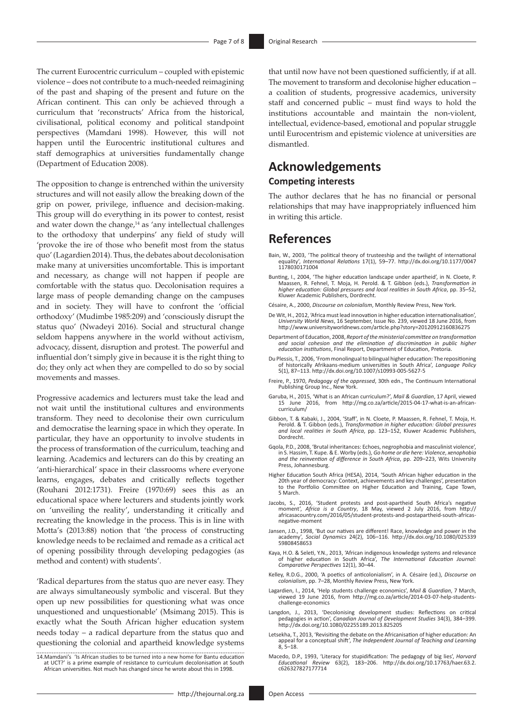The current Eurocentric curriculum – coupled with epistemic violence – does not contribute to a much-needed reimagining of the past and shaping of the present and future on the African continent. This can only be achieved through a curriculum that 'reconstructs' Africa from the historical, civilisational, political economy and political standpoint perspectives (Mamdani 1998). However, this will not happen until the Eurocentric institutional cultures and staff demographics at universities fundamentally change (Department of Education 2008).

The opposition to change is entrenched within the university structures and will not easily allow the breaking down of the grip on power, privilege, influence and decision-making. This group will do everything in its power to contest, resist and water down the change, $14$  as 'any intellectual challenges to the orthodoxy that underpins' any field of study will 'provoke the ire of those who benefit most from the status quo' (Lagardien 2014). Thus, the debates about decolonisation make many at universities uncomfortable. This is important and necessary, as change will not happen if people are comfortable with the status quo. Decolonisation requires a large mass of people demanding change on the campuses and in society. They will have to confront the 'official orthodoxy' (Mudimbe 1985:209) and 'consciously disrupt the status quo' (Nwadeyi 2016). Social and structural change seldom happens anywhere in the world without activism, advocacy, dissent, disruption and protest. The powerful and influential don't simply give in because it is the right thing to do; they only act when they are compelled to do so by social movements and masses.

Progressive academics and lecturers must take the lead and not wait until the institutional cultures and environments transform. They need to decolonise their own curriculum and democratise the learning space in which they operate. In particular, they have an opportunity to involve students in the process of transformation of the curriculum, teaching and learning. Academics and lecturers can do this by creating an 'anti-hierarchical' space in their classrooms where everyone learns, engages, debates and critically reflects together (Rouhani 2012:1731). Freire (1970:69) sees this as an educational space where lecturers and students jointly work on 'unveiling the reality', understanding it critically and recreating the knowledge in the process. This is in line with Motta's (2013:88) notion that 'the process of constructing knowledge needs to be reclaimed and remade as a critical act of opening possibility through developing pedagogies (as method and content) with students'.

'Radical departures from the status quo are never easy. They are always simultaneously symbolic and visceral. But they open up new possibilities for questioning what was once unquestioned and unquestionable' (Msimang 2015). This is exactly what the South African higher education system needs today – a radical departure from the status quo and questioning the colonial and apartheid knowledge systems

14.Mamdani's 'Is African studies to be turned into a new home for Bantu education at UCT?' is a prime example of resistance to curriculum decolonisation at South African universities. Not much has changed since he wrote about this in 1998.

that until now have not been questioned sufficiently, if at all. The movement to transform and decolonise higher education – a coalition of students, progressive academics, university staff and concerned public – must find ways to hold the institutions accountable and maintain the non-violent, intellectual, evidence-based, emotional and popular struggle until Eurocentrism and epistemic violence at universities are dismantled.

# **Acknowledgements**

#### **Competing interests**

The author declares that he has no financial or personal relationships that may have inappropriately influenced him in writing this article.

### **References**

- Bain, W., 2003, 'The political theory of trusteeship and the twilight of international equality', *International Relations* 17(1), 59–77. [http://dx.doi.org/10.1177/0047](http://dx.doi.org/10.1177/00471178030171004) [1178030171004](http://dx.doi.org/10.1177/00471178030171004)
- Bunting, I., 2004, 'The higher education landscape under apartheid', in N. Cloete, P. Maassen, R. Fehnel, T. Moja, H. Perold. & T. Gibbon (eds.), *Transformation in higher education: Global pressures and local realities in South Africa*, pp. 35–52, Kluwer Academic Publishers, Dordrecht.
- Césaire, A., 2000, *Discourse on colonialism*, Monthly Review Press, New York.
- De Wit, H., 2012, 'Africa must lead innovation in higher education internationalisation', *University World News*, 16 September, Issue No. 239, viewed 18 June 2016, from <http://www.universityworldnews.com/article.php?story=20120912160836275>
- Department of Education, 2008, *Report of the ministerial committee on transformation and social cohesion and the elimination of discrimination in public higher education institutions*, Final Report, Department of Education, Pretoria.
- Du Plessis, T., 2006, 'From monolingual to bilingual higher education: The repositioning of historically Afrikaans-medium universities in South Africa', *Language Policy* 5(1), 87–113.<http://dx.doi.org/10.1007/s10993-005-5627-5>
- Freire, P., 1970, *Pedagogy of the oppressed*, 30th edn., The Continuum International Publishing Group Inc., New York.
- Garuba, H., 2015, 'What is an African curriculum?', *Mail & Guardian*, 17 April, viewed 15 June 2016, from [http://mg.co.za/article/2015-04-17-what-is-an-african](http://mg.co.za/article/2015-04-17-what-is-an-african-curriculum/)[curriculum/](http://mg.co.za/article/2015-04-17-what-is-an-african-curriculum/)
- Gibbon, T. & Kabaki, J., 2004, 'Staff', in N. Cloete, P. Maassen, R. Fehnel, T. Moja, H.<br>Perold. & T. Gibbon (eds.), Transformation in higher education: Global pressures<br>and local realities in South Africa, pp. 123–152, Kl Dordrecht.
- Gqola, P.D., 2008, 'Brutal inheritances: Echoes, negrophobia and masculinist violence', in S. Hassim, T. Kupe. & E. Worby (eds.), *Go home or die here: Violence*, *xenophobia and the reinvention of difference in South Africa*, pp. 209–223, Wits University Press, Johannesburg.
- Higher Education South Africa (HESA), 2014, 'South African higher education in the<br>20th year of democracy: Context, achievements and key challenges', presentation<br>to the Portfolio Committee on Higher Education and Training 5 March.
- Jacobs, S., 2016, 'Student protests and post-apartheid South Africa's negative<br>moment', Africa is a Country, 18 May, viewed 2 July 2016, from [http://](http://africasacountry.com/2016/05/student-protests-and-postapartheid-south-africas-negative-moment)<br>africasacountry.com/2016/05/student-protests-and-postapartheid-south-afr [negative-moment](http://africasacountry.com/2016/05/student-protests-and-postapartheid-south-africas-negative-moment)
- Jansen, J.D., 1998, 'But our natives are different! Race, knowledge and power in the academy', *Social Dynamics* 24(2), 106–116. [http://dx.doi.org/10.1080/025339](http://dx.doi.org/10.1080/02533959808458653) [59808458653](http://dx.doi.org/10.1080/02533959808458653)
- Kaya, H.O. & Seleti, Y.N., 2013, 'African indigenous knowledge systems and relevance of higher education in South Africa', *The International Education Journal: Comparative Perspectives* 12(1), 30–44.
- Kelley, R.D.G., 2000, 'A poetics of anticolonialism', in A. Césaire (ed.), *Discourse on colonialism*, pp. 7–28, Monthly Review Press, New York.
- Lagardien, I., 2014, 'Help students challenge economics', *Mail & Guardian*, 7 March, viewed 19 June 2016, from [http://mg.co.za/article/2014-03-07-help-students](http://mg.co.za/article/2014-03-07-help-students-challenge-economics)[challenge-economics](http://mg.co.za/article/2014-03-07-help-students-challenge-economics)
- Langdon, J., 2013, 'Decolonising development studies: Reflections on critical pedagogies in action', *Canadian Journal of Development Studies* 34(3), 384–399. <http://dx.doi.org/10.1080/02255189.2013.825205>
- Letsekha, T., 2013, 'Revisiting the debate on the Africanisation of higher education: An appeal for a conceptual shift', *The Independent Journal of Teaching and Learning* 8, 5–18.
- Macedo, D.P., 1993, 'Literacy for stupidification: The pedagogy of big lies', *Harvard Educational Review* 63(2), 183–206. [http://dx.doi.org/10.17763/haer.63.2.](http://dx.doi.org/10.17763/haer.63.2.c626327827177714) [c626327827177714](http://dx.doi.org/10.17763/haer.63.2.c626327827177714)